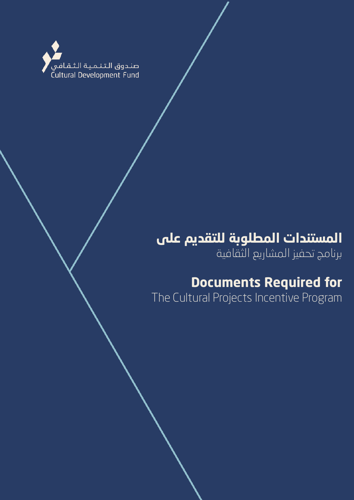

# **المستندات المطلوبة للتقديم على**

برنامج تحفيز المشاريع الثقافية

## **Documents Required for**

The Cultural Projects Incentive Program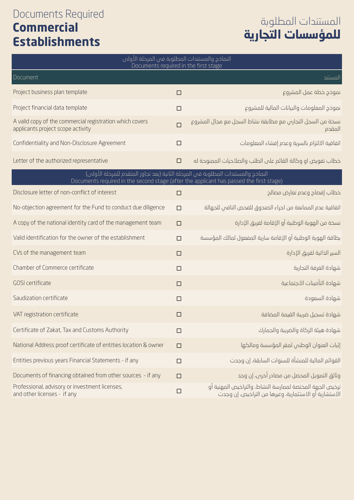#### Documents Required **Commercial Establishments**

## المستندات المطلوبة **للمؤسسات التجا34ة**

| النماذج والمستندات المطلوبة فى المرحلة الأولى<br>Documents required in the first stage                                                                                       |        |                                                                                                                    |  |  |
|------------------------------------------------------------------------------------------------------------------------------------------------------------------------------|--------|--------------------------------------------------------------------------------------------------------------------|--|--|
| Document                                                                                                                                                                     |        | المستند                                                                                                            |  |  |
| Project business plan template                                                                                                                                               | $\Box$ | نموذج خطة عمل المشروع                                                                                              |  |  |
| Project financial data template                                                                                                                                              | $\Box$ | نموذج المعلومات والبيانات المالية للمشروع                                                                          |  |  |
| A valid copy of the commercial registration which covers<br>applicants project scope activity                                                                                | $\Box$ | نسخة من السجل التجارس مع مطابقة نشاط السجل مع مجال المشروع<br>المقدم                                               |  |  |
| Confidentiality and Non-Disclosure Agreement                                                                                                                                 | $\Box$ | اتفاقية الالتزام بالسرية وعدم إفشاء المعلومات                                                                      |  |  |
| Letter of the authorized representative                                                                                                                                      | $\Box$ | خطاب تفويض او وكالة القائم على الطلب والصلاحيات الممنوحة له                                                        |  |  |
| النماذج والمستندات المطلوبة في المرحلة الثانية (بعد تجاوز المتقدم للمرحلة الأولى)<br>Documents required in the second stage (after the applicant has passed the first stage) |        |                                                                                                                    |  |  |
| Disclosure letter of non-conflict of interest                                                                                                                                | $\Box$ | خطاب إفصاح وعدم تعارض مصالح                                                                                        |  |  |
| No-objection agreement for the Fund to conduct due diligence                                                                                                                 | $\Box$ | اتفاقية عدم الممانعة من اجراء الصندوق للفحص النافى للجهالة                                                         |  |  |
| A copy of the national identity card of the management team                                                                                                                  | $\Box$ | نسخة من الموية الوطنية أو الإقامة لفريق الإدارة                                                                    |  |  |
| Valid identification for the owner of the establishment                                                                                                                      | $\Box$ | بطاقة الهوية الوطنية أو الإقامة سارية المفعول لمالك المؤسسة                                                        |  |  |
| CVs of the management team                                                                                                                                                   | $\Box$ | السير الخاتية لفريق الإدارة                                                                                        |  |  |
| Chamber of Commerce certificate                                                                                                                                              | $\Box$ | شهادة الغرفة التجارية                                                                                              |  |  |
| GOSI certificate                                                                                                                                                             | $\Box$ | شهادة التأمينات الاجتماعية                                                                                         |  |  |
| Saudization certificate                                                                                                                                                      | $\Box$ | شمادة السعودة                                                                                                      |  |  |
| VAT registration certificate                                                                                                                                                 | □      | شهادة تسجيل ضريبة القيمة المضافة                                                                                   |  |  |
| Certificate of Zakat, Tax and Customs Authority                                                                                                                              | $\Box$ | شهادة هيئة الزكاة والضريبة والجمارك                                                                                |  |  |
| National Address proof certificate of entities location & owner                                                                                                              | $\Box$ | إثبات العنوان الوطني لمقر المؤسسة ومالكها                                                                          |  |  |
| Entities previous years Financial Statements - if any                                                                                                                        | $\Box$ | القوائم المالية للمنشأة للسنوات السابقة، إن وجدت                                                                   |  |  |
| Documents of financing obtained from other sources - if any                                                                                                                  | $\Box$ | وثائق التمويل المحصل من مصادر أخرى، إن وجد                                                                         |  |  |
| Professional, advisory or investment licenses,<br>and other licenses - if any                                                                                                | $\Box$ | نرخيص الجهة المختصة لممارسة النشاط، والتراخيص المهنية أو<br>الاستشارية أو الاستثمارية، وغيرها من التراخيص، إن وجدت |  |  |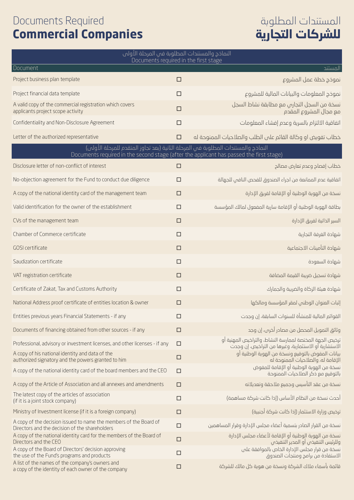#### Documents Required **Commercial Companies**

## المستندات المطلوبة **للشركات التجا34ة**

| النماذج والمستندات المطلوبة فى المرحلة الأولى<br>Documents required in the first stage                                                                                       |        |                                                                                                                    |  |  |  |
|------------------------------------------------------------------------------------------------------------------------------------------------------------------------------|--------|--------------------------------------------------------------------------------------------------------------------|--|--|--|
| Document                                                                                                                                                                     |        | المستند                                                                                                            |  |  |  |
| Project business plan template                                                                                                                                               | $\Box$ | نموذج خطة عمل المشروع                                                                                              |  |  |  |
| Project financial data template                                                                                                                                              | □      | نموذج المعلومات والبيانات المالية للمشروع                                                                          |  |  |  |
| A valid copy of the commercial registration which covers<br>applicants project scope activity                                                                                | $\Box$ | نسخة من السجل التجارس مع مطابقة نشاط السجل<br>مع مجال المشروع المقدم                                               |  |  |  |
| Confidentiality and Non-Disclosure Agreement                                                                                                                                 | $\Box$ | اتفاقية الالتزام بالسرية وعدم إفشاء المعلومات                                                                      |  |  |  |
| Letter of the authorized representative                                                                                                                                      | $\Box$ | خطاب تفويض او وكالة القائم على الطلب والصلاحيات الممنوحة له                                                        |  |  |  |
| النماذج والمستندات المطلوبة في المرحلة الثانية (بعد تجاوز المتقدم للمرحلة الأولى)<br>Documents required in the second stage (after the applicant has passed the first stage) |        |                                                                                                                    |  |  |  |
| Disclosure letter of non-conflict of interest                                                                                                                                | $\Box$ | خطاب إفصاح وعدم تعارض مصالح                                                                                        |  |  |  |
| No-objection agreement for the Fund to conduct due diligence                                                                                                                 | $\Box$ | اتفاقية عدم الممانعة من اجراء الصندوق للفحص النافي للجهالة                                                         |  |  |  |
| A copy of the national identity card of the management team                                                                                                                  | $\Box$ | نسخة من الموية الوطنية أو الإقامة لفريق الإدارة                                                                    |  |  |  |
| Valid identification for the owner of the establishment                                                                                                                      | $\Box$ | بطاقة الهوية الوطنية أو الإقامة سارية المفعول لمالك المؤسسة                                                        |  |  |  |
| CVs of the management team                                                                                                                                                   | $\Box$ | السير الذاتية لفريق الإدارة                                                                                        |  |  |  |
| Chamber of Commerce certificate                                                                                                                                              | $\Box$ | شهادة الغرفة التجارية                                                                                              |  |  |  |
| GOSI certificate                                                                                                                                                             | $\Box$ | شهادة التأمينات الاجتماعية                                                                                         |  |  |  |
| Saudization certificate                                                                                                                                                      | $\Box$ | شهادة السعودة                                                                                                      |  |  |  |
| VAT registration certificate                                                                                                                                                 | $\Box$ | شهادة تسجيل ضريبة القيمة المضافة                                                                                   |  |  |  |
| Certificate of Zakat, Tax and Customs Authority                                                                                                                              | $\Box$ | شهادة هيئة الزكاة والضريبة والجمارك                                                                                |  |  |  |
| National Address proof certificate of entities location & owner                                                                                                              | $\Box$ | إثبات العنوان الوطنى لمقر المؤسسة ومالكها                                                                          |  |  |  |
| Entities previous years Financial Statements - if any                                                                                                                        | $\Box$ | القوائم المالية للمنشأة للسنوات السابقة، إن وجدت                                                                   |  |  |  |
| Documents of financing obtained from other sources - if any                                                                                                                  | $\Box$ | وثائق التمويل المحصل من مصادر أخرى، إن وجد                                                                         |  |  |  |
| Professional, advisory or investment licenses, and other licenses - if any                                                                                                   | $\Box$ | ترخيص الجهة المختصة لممارسة النشاط، والتراخيص المهنية أو<br>الاستشارية أو الاستثمارية، وغيرها من التراخيص، إن وجدت |  |  |  |
| A copy of his national identity and data of the<br>authorized signatory and the powers granted to him                                                                        | $\Box$ | بيانات المفوض بالتوقيم ونسخة من الهوية الوطنية أو<br>الإقامة له، والصلاحيات الممنوحة له                            |  |  |  |
| A copy of the national identity card of the board members and the CEO                                                                                                        | $\Box$ | نسخة من الموية الوطنية أو الإقامة للمفوض<br>بالتوقيع مع ذكر الصلاحيات الممنوحة                                     |  |  |  |
| A copy of the Article of Association and all annexes and amendments                                                                                                          | $\Box$ | نسخة من عقد التأسيس وجميع ملاحقة وتعديلاته                                                                         |  |  |  |
| The latest copy of the articles of association<br>(if it is a joint stock company)                                                                                           | $\Box$ | أحدث نسخة من النظام الأساس (إذا كانت شركة مساهمة)                                                                  |  |  |  |
| Ministry of Investment license (if it is a foreign company)                                                                                                                  | $\Box$ | ترخيص وزارة الاستثمار (إذا كانت شركة أجنبية)                                                                       |  |  |  |
| A copy of the decision issued to name the members of the Board of<br>Directors and the decision of the shareholders                                                          | $\Box$ | نسخة من القرار الصادر بتسمية أعضاء مجلس الإدارة وقرار المساهمين                                                    |  |  |  |
| A copy of the national identity card for the members of the Board of<br>Directors and the CEO                                                                                | $\Box$ | نسخة من الهوية الوطنية أو الإقامة لأعضاء مجلس الإدارة<br>وللرئيس التنفيذس أو المدير التنفيذس                       |  |  |  |
| A copy of the Board of Directors' decision approving<br>the use of the Fund's programs and products                                                                          | $\Box$ | نسخة من قرار مجلس الإدارة الخاص بالموافقة على<br>الاستفادة من برامج ومنتجات الصندوق                                |  |  |  |
| A list of the names of the company's owners and<br>a copy of the identity of each owner of the company                                                                       | $\Box$ | قائمة بأسماء ملاك الشركة ونسخة من هوية كل مالك للشركة                                                              |  |  |  |